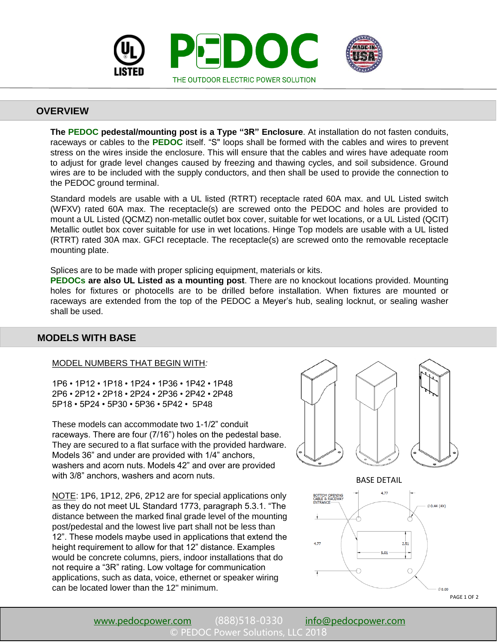

## **OVERVIEW**

**The PEDOC pedestal/mounting post is a Type "3R" Enclosure**. At installation do not fasten conduits, raceways or cables to the **PEDOC** itself. "S" loops shall be formed with the cables and wires to prevent stress on the wires inside the enclosure. This will ensure that the cables and wires have adequate room to adjust for grade level changes caused by freezing and thawing cycles, and soil subsidence. Ground wires are to be included with the supply conductors, and then shall be used to provide the connection to the PEDOC ground terminal.

Standard models are usable with a UL listed (RTRT) receptacle rated 60A max. and UL Listed switch (WFXV) rated 60A max. The receptacle(s) are screwed onto the PEDOC and holes are provided to mount a UL Listed (QCMZ) non-metallic outlet box cover, suitable for wet locations, or a UL Listed (QCIT) Metallic outlet box cover suitable for use in wet locations. Hinge Top models are usable with a UL listed (RTRT) rated 30A max. GFCI receptacle. The receptacle(s) are screwed onto the removable receptacle mounting plate.

Splices are to be made with proper splicing equipment, materials or kits.

**PEDOCs are also UL Listed as a mounting post**. There are no knockout locations provided. Mounting holes for fixtures or photocells are to be drilled before installation. When fixtures are mounted or raceways are extended from the top of the PEDOC a Meyer's hub, sealing locknut, or sealing washer shall be used.

## **MODELS WITH BASE**

#### MODEL NUMBERS THAT BEGIN WITH*:*

1P6 • 1P12 • 1P18 • 1P24 • 1P36 • 1P42 • 1P48 2P6 • 2P12 • 2P18 • 2P24 • 2P36 • 2P42 • 2P48 5P18 • 5P24 • 5P30 • 5P36 • 5P42 • 5P48

These models can accommodate two 1-1/2" conduit raceways. There are four (7/16") holes on the pedestal base. They are secured to a flat surface with the provided hardware. Models 36" and under are provided with 1/4" anchors, washers and acorn nuts. Models 42" and over are provided with 3/8" anchors, washers and acorn nuts.

NOTE: 1P6, 1P12, 2P6, 2P12 are for special applications only as they do not meet UL Standard 1773, paragraph 5.3.1. "The distance between the marked final grade level of the mounting post/pedestal and the lowest live part shall not be less than 12". These models maybe used in applications that extend the height requirement to allow for that 12" distance. Examples would be concrete columns, piers, indoor installations that do not require a "3R" rating. Low voltage for communication applications, such as data, voice, ethernet or speaker wiring can be located lower than the 12" minimum.



BASE DETAIL



[www.pedocpower.com](http://www.pedocpower.com) (888)518-0330 [info@pedocpower.com](mailto:info@pedocpower.com) PEDOC Power Solutions, LLC 2018